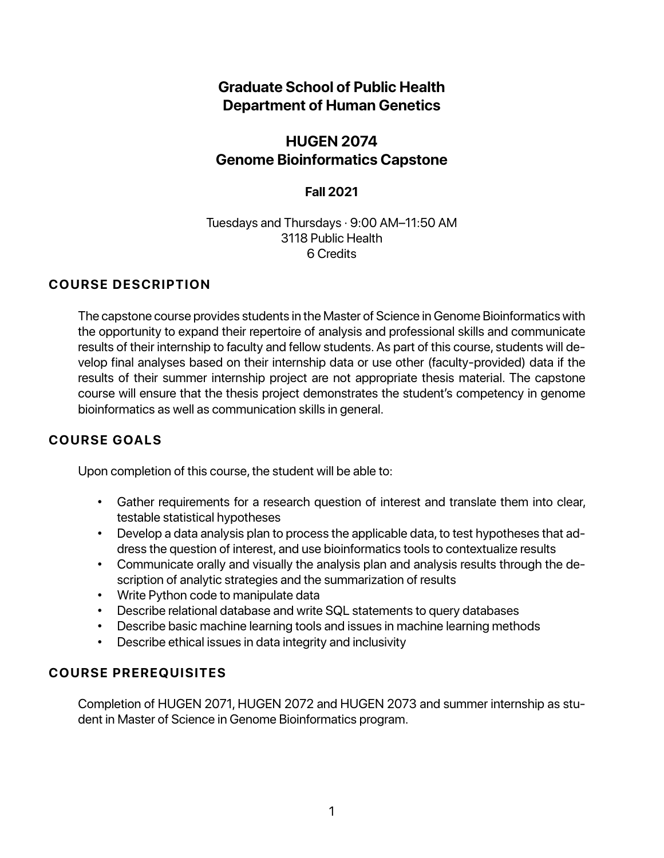# **Graduate School of Public Health Department of Human Genetics**

# **HUGEN 2074 Genome Bioinformatics Capstone**

# **Fall 2021**

### Tuesdays and Thursdays · 9:00 AM–11:50 AM 3118 Public Health 6 Credits

# **COURSE DESCRIPTION**

The capstone course provides students in the Master of Science in Genome Bioinformatics with the opportunity to expand their repertoire of analysis and professional skills and communicate results of their internship to faculty and fellow students. As part of this course, students will develop final analyses based on their internship data or use other (faculty-provided) data if the results of their summer internship project are not appropriate thesis material. The capstone course will ensure that the thesis project demonstrates the student's competency in genome bioinformatics as well as communication skills in general.

# **COURSE GOALS**

Upon completion of this course, the student will be able to:

- Gather requirements for a research question of interest and translate them into clear, testable statistical hypotheses
- Develop a data analysis plan to process the applicable data, to test hypotheses that address the question of interest, and use bioinformatics tools to contextualize results
- Communicate orally and visually the analysis plan and analysis results through the description of analytic strategies and the summarization of results
- Write Python code to manipulate data
- Describe relational database and write SQL statements to query databases
- Describe basic machine learning tools and issues in machine learning methods
- Describe ethical issues in data integrity and inclusivity

# **COURSE PREREQUISITES**

Completion of HUGEN 2071, HUGEN 2072 and HUGEN 2073 and summer internship as student in Master of Science in Genome Bioinformatics program.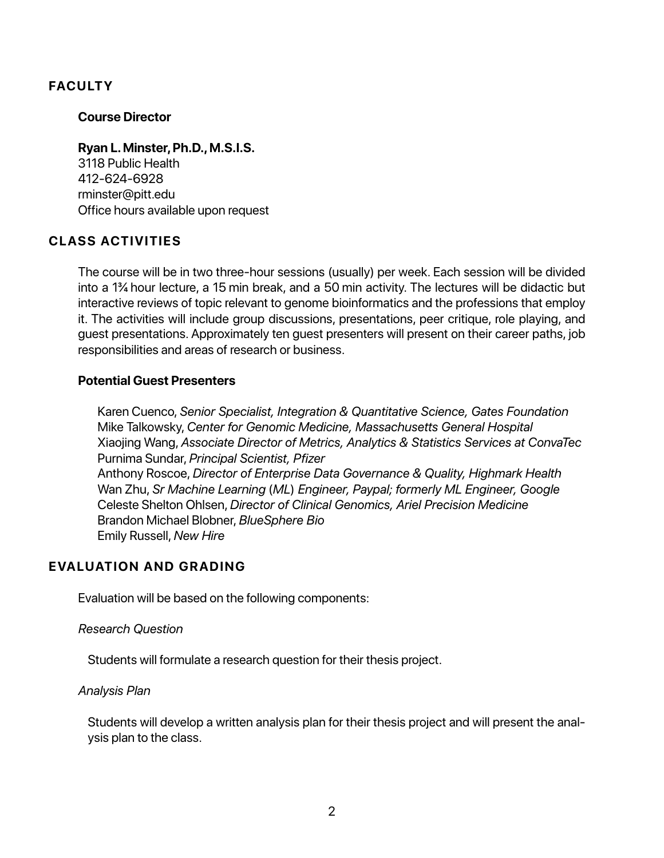# **FACULTY**

#### **Course Director**

#### **Ryan L. Minster, Ph.D., M.S.I.S.**

3118 Public Health 412-624-6928 rminster@pitt.edu Office hours available upon request

# **CLASS ACTIVITIES**

The course will be in two three-hour sessions (usually) per week. Each session will be divided into a 1¾ hour lecture, a 15 min break, and a 50 min activity. The lectures will be didactic but interactive reviews of topic relevant to genome bioinformatics and the professions that employ it. The activities will include group discussions, presentations, peer critique, role playing, and guest presentations. Approximately ten guest presenters will present on their career paths, job responsibilities and areas of research or business.

### **Potential Guest Presenters**

Karen Cuenco, *Senior Specialist, Integration & Quantitative Science, Gates Foundation* Mike Talkowsky, *Center for Genomic Medicine, Massachusetts General Hospital* Xiaojing Wang, *Associate Director of Metrics, Analytics & Statistics Services at ConvaTec* Purnima Sundar, *Principal Scientist, Pfizer* Anthony Roscoe, *Director of Enterprise Data Governance & Quality, Highmark Health* Wan Zhu, *Sr Machine Learning* (*ML*) *Engineer, Paypal; formerly ML Engineer, Google* Celeste Shelton Ohlsen, *Director of Clinical Genomics, Ariel Precision Medicine* Brandon Michael Blobner, *BlueSphere Bio* Emily Russell, *New Hire*

# **EVALUATION AND GRADING**

Evaluation will be based on the following components:

#### *Research Question*

Students will formulate a research question for their thesis project.

#### *Analysis Plan*

Students will develop a written analysis plan for their thesis project and will present the analysis plan to the class.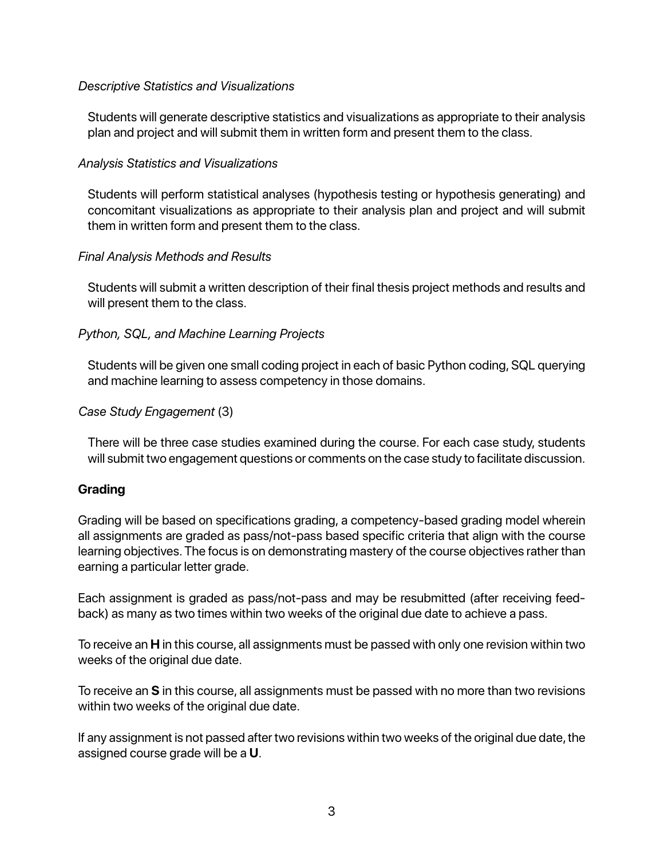### *Descriptive Statistics and Visualizations*

Students will generate descriptive statistics and visualizations as appropriate to their analysis plan and project and will submit them in written form and present them to the class.

# *Analysis Statistics and Visualizations*

Students will perform statistical analyses (hypothesis testing or hypothesis generating) and concomitant visualizations as appropriate to their analysis plan and project and will submit them in written form and present them to the class.

### *Final Analysis Methods and Results*

Students will submit a written description of their final thesis project methods and results and will present them to the class.

# *Python, SQL, and Machine Learning Projects*

Students will be given one small coding project in each of basic Python coding, SQL querying and machine learning to assess competency in those domains.

### *Case Study Engagement* (3)

There will be three case studies examined during the course. For each case study, students will submit two engagement questions or comments on the case study to facilitate discussion.

# **Grading**

Grading will be based on specifications grading, a competency-based grading model wherein all assignments are graded as pass/not-pass based specific criteria that align with the course learning objectives. The focus is on demonstrating mastery of the course objectives rather than earning a particular letter grade.

Each assignment is graded as pass/not-pass and may be resubmitted (after receiving feedback) as many as two times within two weeks of the original due date to achieve a pass.

To receive an **H** in this course, all assignments must be passed with only one revision within two weeks of the original due date.

To receive an **S** in this course, all assignments must be passed with no more than two revisions within two weeks of the original due date.

If any assignment is not passed after two revisions within two weeks of the original due date, the assigned course grade will be a **U**.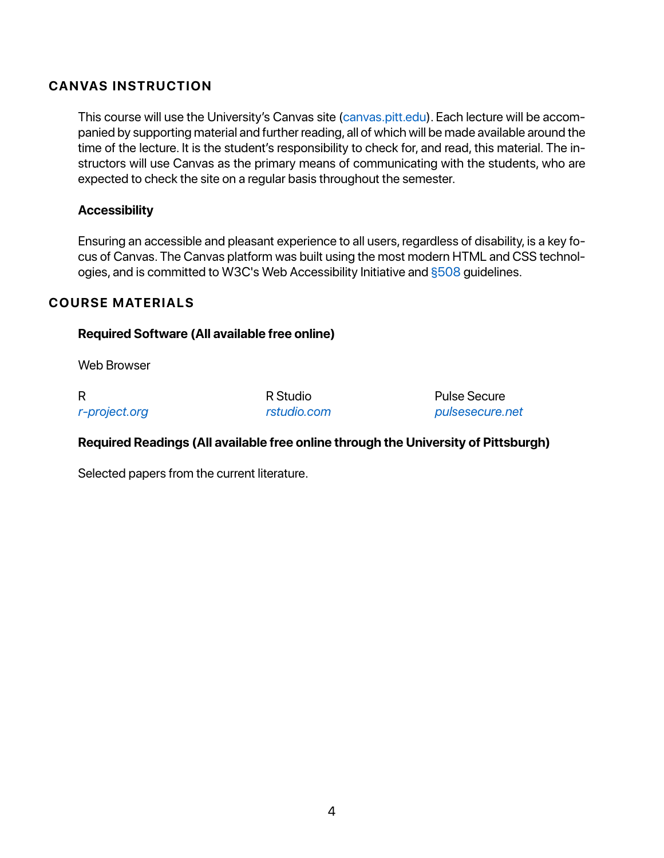# **CANVAS INSTRUCTION**

This course will use the University's Canvas site (canvas.pitt.edu). Each lecture will be accompanied by supporting material and further reading, all of which will be made available around the time of the lecture. It is the student's responsibility to check for, and read, this material. The instructors will use Canvas as the primary means of communicating with the students, who are expected to check the site on a regular basis throughout the semester.

### **Accessibility**

Ensuring an accessible and pleasant experience to all users, regardless of disability, is a key focus of Canvas. The Canvas platform was built using the most modern HTML and CSS technologies, and is committed to W3C's Web Accessibility Initiative and §508 guidelines.

# **COURSE MATERIALS**

### **Required Software (All available free online)**

Web Browser

R *r-project.org* R Studio *rstudio.com* Pulse Secure *pulsesecure.net*

# **Required Readings (All available free online through the University of Pittsburgh)**

Selected papers from the current literature.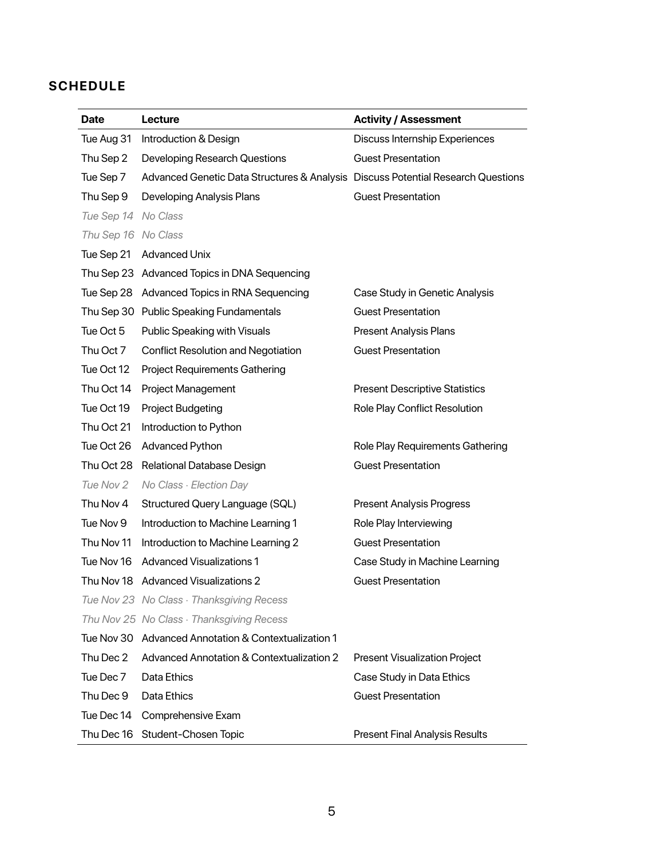# **SCHEDULE**

| <b>Date</b>         | Lecture                                                                          | <b>Activity / Assessment</b>          |
|---------------------|----------------------------------------------------------------------------------|---------------------------------------|
| Tue Aug 31          | Introduction & Design                                                            | Discuss Internship Experiences        |
| Thu Sep 2           | Developing Research Questions                                                    | <b>Guest Presentation</b>             |
| Tue Sep 7           | Advanced Genetic Data Structures & Analysis Discuss Potential Research Questions |                                       |
| Thu Sep 9           | Developing Analysis Plans                                                        | <b>Guest Presentation</b>             |
| Tue Sep 14 No Class |                                                                                  |                                       |
| Thu Sep 16 No Class |                                                                                  |                                       |
| Tue Sep 21          | <b>Advanced Unix</b>                                                             |                                       |
|                     | Thu Sep 23 Advanced Topics in DNA Sequencing                                     |                                       |
|                     | Tue Sep 28 Advanced Topics in RNA Sequencing                                     | Case Study in Genetic Analysis        |
|                     | Thu Sep 30 Public Speaking Fundamentals                                          | <b>Guest Presentation</b>             |
| Tue Oct 5           | Public Speaking with Visuals                                                     | Present Analysis Plans                |
| Thu Oct 7           | <b>Conflict Resolution and Negotiation</b>                                       | <b>Guest Presentation</b>             |
| Tue Oct 12          | <b>Project Requirements Gathering</b>                                            |                                       |
| Thu Oct 14          | Project Management                                                               | <b>Present Descriptive Statistics</b> |
| Tue Oct 19          | Project Budgeting                                                                | Role Play Conflict Resolution         |
| Thu Oct 21          | Introduction to Python                                                           |                                       |
| Tue Oct 26          | Advanced Python                                                                  | Role Play Requirements Gathering      |
| Thu Oct 28          | Relational Database Design                                                       | <b>Guest Presentation</b>             |
| Tue Nov 2           | No Class · Election Day                                                          |                                       |
| Thu Nov 4           | Structured Query Language (SQL)                                                  | <b>Present Analysis Progress</b>      |
| Tue Nov 9           | Introduction to Machine Learning 1                                               | Role Play Interviewing                |
| Thu Nov 11          | Introduction to Machine Learning 2                                               | <b>Guest Presentation</b>             |
| Tue Nov 16          | <b>Advanced Visualizations 1</b>                                                 | Case Study in Machine Learning        |
|                     | Thu Nov 18 Advanced Visualizations 2                                             | <b>Guest Presentation</b>             |
|                     | Tue Nov 23 No Class · Thanksgiving Recess                                        |                                       |
|                     | Thu Nov 25 No Class · Thanksgiving Recess                                        |                                       |
|                     | Tue Nov 30 Advanced Annotation & Contextualization 1                             |                                       |
| Thu Dec 2           | Advanced Annotation & Contextualization 2                                        | <b>Present Visualization Project</b>  |
| Tue Dec 7           | Data Ethics                                                                      | Case Study in Data Ethics             |
| Thu Dec 9           | Data Ethics                                                                      | <b>Guest Presentation</b>             |
| Tue Dec 14          | Comprehensive Exam                                                               |                                       |
|                     | Thu Dec 16 Student-Chosen Topic                                                  | <b>Present Final Analysis Results</b> |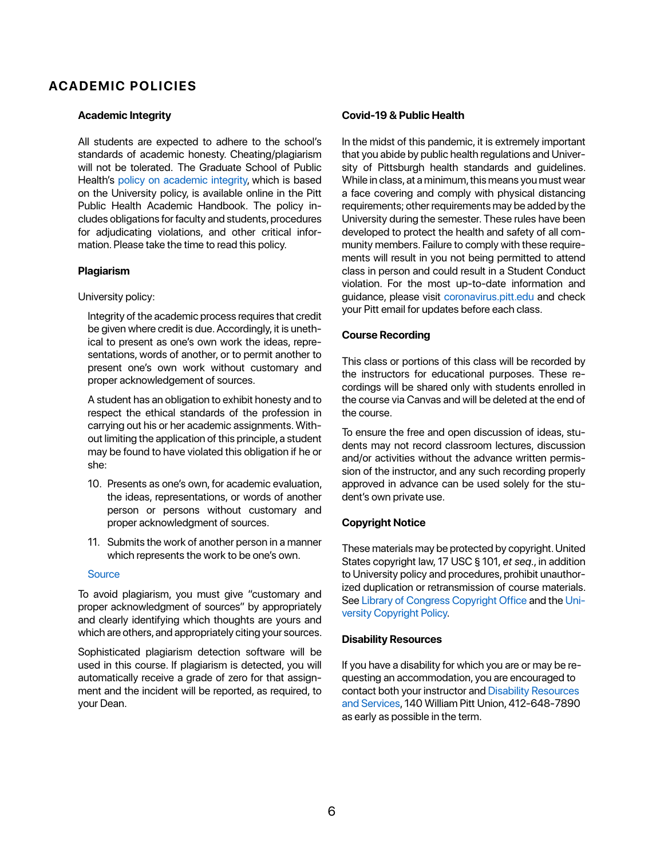# **ACADEMIC POLICIES**

#### **Academic Integrity**

All students are expected to adhere to the school's standards of academic honesty. Cheating/plagiarism will not be tolerated. The Graduate School of Public Health's policy on academic integrity, which is based on the University policy, is available online in the Pitt Public Health Academic Handbook. The policy includes obligations for faculty and students, procedures for adjudicating violations, and other critical information. Please take the time to read this policy.

#### **Plagiarism**

#### University policy:

Integrity of the academic process requires that credit be given where credit is due. Accordingly, it is unethical to present as one's own work the ideas, representations, words of another, or to permit another to present one's own work without customary and proper acknowledgement of sources.

A student has an obligation to exhibit honesty and to respect the ethical standards of the profession in carrying out his or her academic assignments. Without limiting the application of this principle, a student may be found to have violated this obligation if he or she:

- 10. Presents as one's own, for academic evaluation, the ideas, representations, or words of another person or persons without customary and proper acknowledgment of sources.
- 11. Submits the work of another person in a manner which represents the work to be one's own.

#### **Source**

To avoid plagiarism, you must give "customary and proper acknowledgment of sources" by appropriately and clearly identifying which thoughts are yours and which are others, and appropriately citing your sources.

Sophisticated plagiarism detection software will be used in this course. If plagiarism is detected, you will automatically receive a grade of zero for that assignment and the incident will be reported, as required, to your Dean.

#### **Covid-19 & Public Health**

In the midst of this pandemic, it is extremely important that you abide by public health regulations and University of Pittsburgh health standards and guidelines. While in class, at a minimum, this means you must wear a face covering and comply with physical distancing requirements; other requirements may be added by the University during the semester. These rules have been developed to protect the health and safety of all community members. Failure to comply with these requirements will result in you not being permitted to attend class in person and could result in a Student Conduct violation. For the most up-to-date information and guidance, please visit coronavirus.pitt.edu and check your Pitt email for updates before each class.

#### **Course Recording**

This class or portions of this class will be recorded by the instructors for educational purposes. These recordings will be shared only with students enrolled in the course via Canvas and will be deleted at the end of the course.

To ensure the free and open discussion of ideas, students may not record classroom lectures, discussion and/or activities without the advance written permission of the instructor, and any such recording properly approved in advance can be used solely for the student's own private use.

#### **Copyright Notice**

These materials may be protected by copyright. United States copyright law, 17 USC § 101, *et seq*., in addition to University policy and procedures, prohibit unauthorized duplication or retransmission of course materials. See Library of Congress Copyright Office and the University Copyright Policy.

#### **Disability Resources**

If you have a disability for which you are or may be requesting an accommodation, you are encouraged to contact both your instructor and Disability Resources and Services, 140 William Pitt Union, 412-648-7890 as early as possible in the term.